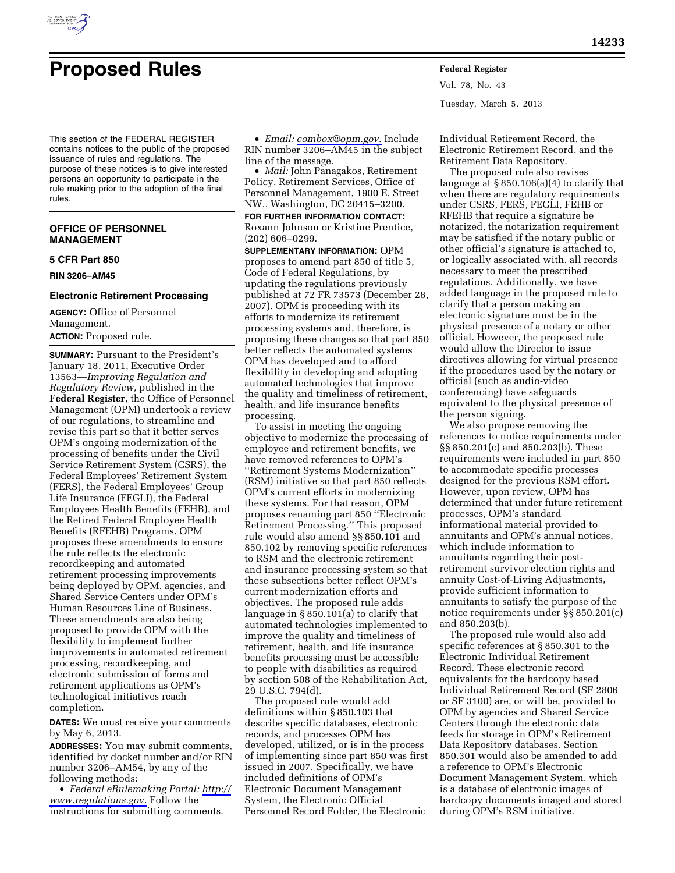

# **Proposed Rules Federal Register**

Vol. 78, No. 43 Tuesday, March 5, 2013

This section of the FEDERAL REGISTER contains notices to the public of the proposed issuance of rules and regulations. The purpose of these notices is to give interested persons an opportunity to participate in the rule making prior to the adoption of the final rules.

## **OFFICE OF PERSONNEL MANAGEMENT**

## **5 CFR Part 850**

## **RIN 3206–AM45**

## **Electronic Retirement Processing**

**AGENCY:** Office of Personnel Management. **ACTION:** Proposed rule.

**SUMMARY:** Pursuant to the President's January 18, 2011, Executive Order 13563—*Improving Regulation and Regulatory Review,* published in the **Federal Register**, the Office of Personnel Management (OPM) undertook a review of our regulations, to streamline and revise this part so that it better serves OPM's ongoing modernization of the processing of benefits under the Civil Service Retirement System (CSRS), the Federal Employees' Retirement System (FERS), the Federal Employees' Group Life Insurance (FEGLI), the Federal Employees Health Benefits (FEHB), and the Retired Federal Employee Health Benefits (RFEHB) Programs. OPM proposes these amendments to ensure the rule reflects the electronic recordkeeping and automated retirement processing improvements being deployed by OPM, agencies, and Shared Service Centers under OPM's Human Resources Line of Business. These amendments are also being proposed to provide OPM with the flexibility to implement further improvements in automated retirement processing, recordkeeping, and electronic submission of forms and retirement applications as OPM's technological initiatives reach completion.

**DATES:** We must receive your comments by May 6, 2013.

**ADDRESSES:** You may submit comments, identified by docket number and/or RIN number 3206–AM54, by any of the following methods:

• *Federal eRulemaking Portal: [http://](http://www.regulations.gov)  [www.regulations.gov.](http://www.regulations.gov)* Follow the instructions for submitting comments.

• *Email: [combox@opm.gov.](mailto:combox@opm.gov)* Include RIN number 3206–AM45 in the subject line of the message.

• *Mail:* John Panagakos, Retirement Policy, Retirement Services, Office of Personnel Management, 1900 E. Street NW., Washington, DC 20415–3200.

**FOR FURTHER INFORMATION CONTACT:**  Roxann Johnson or Kristine Prentice, (202) 606–0299.

**SUPPLEMENTARY INFORMATION:** OPM proposes to amend part 850 of title 5, Code of Federal Regulations, by updating the regulations previously published at 72 FR 73573 (December 28, 2007). OPM is proceeding with its efforts to modernize its retirement processing systems and, therefore, is proposing these changes so that part 850 better reflects the automated systems OPM has developed and to afford flexibility in developing and adopting automated technologies that improve the quality and timeliness of retirement, health, and life insurance benefits processing.

To assist in meeting the ongoing objective to modernize the processing of employee and retirement benefits, we have removed references to OPM's ''Retirement Systems Modernization'' (RSM) initiative so that part 850 reflects OPM's current efforts in modernizing these systems. For that reason, OPM proposes renaming part 850 ''Electronic Retirement Processing.'' This proposed rule would also amend §§ 850.101 and 850.102 by removing specific references to RSM and the electronic retirement and insurance processing system so that these subsections better reflect OPM's current modernization efforts and objectives. The proposed rule adds language in § 850.101(a) to clarify that automated technologies implemented to improve the quality and timeliness of retirement, health, and life insurance benefits processing must be accessible to people with disabilities as required by section 508 of the Rehabilitation Act, 29 U.S.C. 794(d).

The proposed rule would add definitions within § 850.103 that describe specific databases, electronic records, and processes OPM has developed, utilized, or is in the process of implementing since part 850 was first issued in 2007. Specifically, we have included definitions of OPM's Electronic Document Management System, the Electronic Official Personnel Record Folder, the Electronic

Individual Retirement Record, the Electronic Retirement Record, and the Retirement Data Repository.

The proposed rule also revises language at  $\S 850.106(a)(4)$  to clarify that when there are regulatory requirements under CSRS, FERS, FEGLI, FEHB or RFEHB that require a signature be notarized, the notarization requirement may be satisfied if the notary public or other official's signature is attached to, or logically associated with, all records necessary to meet the prescribed regulations. Additionally, we have added language in the proposed rule to clarify that a person making an electronic signature must be in the physical presence of a notary or other official. However, the proposed rule would allow the Director to issue directives allowing for virtual presence if the procedures used by the notary or official (such as audio-video conferencing) have safeguards equivalent to the physical presence of the person signing.

We also propose removing the references to notice requirements under §§ 850.201(c) and 850.203(b). These requirements were included in part 850 to accommodate specific processes designed for the previous RSM effort. However, upon review, OPM has determined that under future retirement processes, OPM's standard informational material provided to annuitants and OPM's annual notices, which include information to annuitants regarding their postretirement survivor election rights and annuity Cost-of-Living Adjustments, provide sufficient information to annuitants to satisfy the purpose of the notice requirements under §§ 850.201(c) and 850.203(b).

The proposed rule would also add specific references at § 850.301 to the Electronic Individual Retirement Record. These electronic record equivalents for the hardcopy based Individual Retirement Record (SF 2806 or SF 3100) are, or will be, provided to OPM by agencies and Shared Service Centers through the electronic data feeds for storage in OPM's Retirement Data Repository databases. Section 850.301 would also be amended to add a reference to OPM's Electronic Document Management System, which is a database of electronic images of hardcopy documents imaged and stored during OPM's RSM initiative.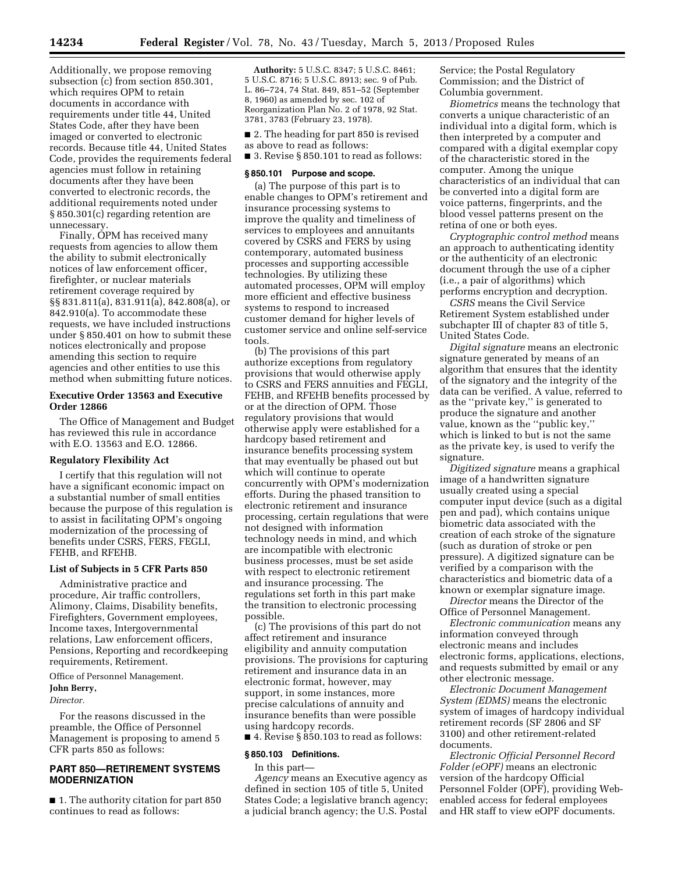Additionally, we propose removing subsection (c) from section 850.301, which requires OPM to retain documents in accordance with requirements under title 44, United States Code, after they have been imaged or converted to electronic records. Because title 44, United States Code, provides the requirements federal agencies must follow in retaining documents after they have been converted to electronic records, the additional requirements noted under § 850.301(c) regarding retention are unnecessary.

Finally, OPM has received many requests from agencies to allow them the ability to submit electronically notices of law enforcement officer, firefighter, or nuclear materials retirement coverage required by §§ 831.811(a), 831.911(a), 842.808(a), or 842.910(a). To accommodate these requests, we have included instructions under § 850.401 on how to submit these notices electronically and propose amending this section to require agencies and other entities to use this method when submitting future notices.

## **Executive Order 13563 and Executive Order 12866**

The Office of Management and Budget has reviewed this rule in accordance with E.O. 13563 and E.O. 12866.

#### **Regulatory Flexibility Act**

I certify that this regulation will not have a significant economic impact on a substantial number of small entities because the purpose of this regulation is to assist in facilitating OPM's ongoing modernization of the processing of benefits under CSRS, FERS, FEGLI, FEHB, and RFEHB.

#### **List of Subjects in 5 CFR Parts 850**

Administrative practice and procedure, Air traffic controllers, Alimony, Claims, Disability benefits, Firefighters, Government employees, Income taxes, Intergovernmental relations, Law enforcement officers, Pensions, Reporting and recordkeeping requirements, Retirement.

Office of Personnel Management.

#### **John Berry,**

#### *Director.*

For the reasons discussed in the preamble, the Office of Personnel Management is proposing to amend 5 CFR parts 850 as follows:

## **PART 850—RETIREMENT SYSTEMS MODERNIZATION**

■ 1. The authority citation for part 850 continues to read as follows:

**Authority:** 5 U.S.C. 8347; 5 U.S.C. 8461; 5 U.S.C. 8716; 5 U.S.C. 8913; sec. 9 of Pub. L. 86–724, 74 Stat. 849, 851–52 (September 8, 1960) as amended by sec. 102 of Reorganization Plan No. 2 of 1978, 92 Stat. 3781, 3783 (February 23, 1978).

■ 2. The heading for part 850 is revised as above to read as follows:

■ 3. Revise § 850.101 to read as follows:

## **§ 850.101 Purpose and scope.**

(a) The purpose of this part is to enable changes to OPM's retirement and insurance processing systems to improve the quality and timeliness of services to employees and annuitants covered by CSRS and FERS by using contemporary, automated business processes and supporting accessible technologies. By utilizing these automated processes, OPM will employ more efficient and effective business systems to respond to increased customer demand for higher levels of customer service and online self-service tools.

(b) The provisions of this part authorize exceptions from regulatory provisions that would otherwise apply to CSRS and FERS annuities and FEGLI, FEHB, and RFEHB benefits processed by or at the direction of OPM. Those regulatory provisions that would otherwise apply were established for a hardcopy based retirement and insurance benefits processing system that may eventually be phased out but which will continue to operate concurrently with OPM's modernization efforts. During the phased transition to electronic retirement and insurance processing, certain regulations that were not designed with information technology needs in mind, and which are incompatible with electronic business processes, must be set aside with respect to electronic retirement and insurance processing. The regulations set forth in this part make the transition to electronic processing possible.

(c) The provisions of this part do not affect retirement and insurance eligibility and annuity computation provisions. The provisions for capturing retirement and insurance data in an electronic format, however, may support, in some instances, more precise calculations of annuity and insurance benefits than were possible using hardcopy records.

■ 4. Revise § 850.103 to read as follows:

#### **§ 850.103 Definitions.**

In this part—

*Agency* means an Executive agency as defined in section 105 of title 5, United States Code; a legislative branch agency; a judicial branch agency; the U.S. Postal

Service; the Postal Regulatory Commission; and the District of Columbia government.

*Biometrics* means the technology that converts a unique characteristic of an individual into a digital form, which is then interpreted by a computer and compared with a digital exemplar copy of the characteristic stored in the computer. Among the unique characteristics of an individual that can be converted into a digital form are voice patterns, fingerprints, and the blood vessel patterns present on the retina of one or both eyes.

*Cryptographic control method* means an approach to authenticating identity or the authenticity of an electronic document through the use of a cipher (i.e., a pair of algorithms) which performs encryption and decryption.

*CSRS* means the Civil Service Retirement System established under subchapter III of chapter 83 of title 5, United States Code.

*Digital signature* means an electronic signature generated by means of an algorithm that ensures that the identity of the signatory and the integrity of the data can be verified. A value, referred to as the ''private key,'' is generated to produce the signature and another value, known as the ''public key,'' which is linked to but is not the same as the private key, is used to verify the signature.

*Digitized signature* means a graphical image of a handwritten signature usually created using a special computer input device (such as a digital pen and pad), which contains unique biometric data associated with the creation of each stroke of the signature (such as duration of stroke or pen pressure). A digitized signature can be verified by a comparison with the characteristics and biometric data of a known or exemplar signature image.

*Director* means the Director of the Office of Personnel Management.

*Electronic communication* means any information conveyed through electronic means and includes electronic forms, applications, elections, and requests submitted by email or any other electronic message.

*Electronic Document Management System (EDMS)* means the electronic system of images of hardcopy individual retirement records (SF 2806 and SF 3100) and other retirement-related documents.

*Electronic Official Personnel Record Folder (eOPF)* means an electronic version of the hardcopy Official Personnel Folder (OPF), providing Webenabled access for federal employees and HR staff to view eOPF documents.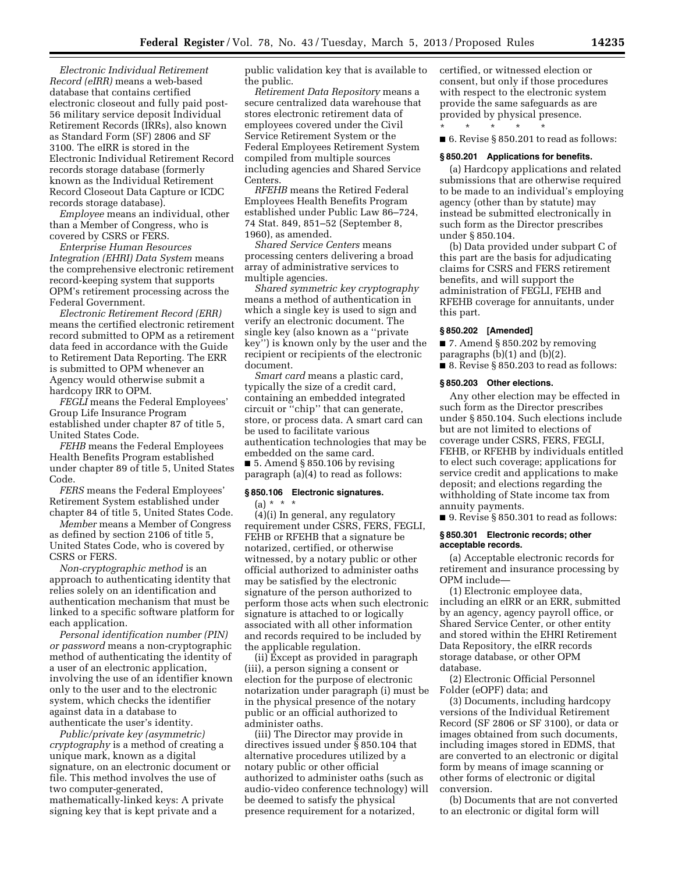*Electronic Individual Retirement Record (eIRR)* means a web-based database that contains certified electronic closeout and fully paid post-56 military service deposit Individual Retirement Records (IRRs), also known as Standard Form (SF) 2806 and SF 3100. The eIRR is stored in the Electronic Individual Retirement Record records storage database (formerly known as the Individual Retirement Record Closeout Data Capture or ICDC records storage database).

*Employee* means an individual, other than a Member of Congress, who is covered by CSRS or FERS.

*Enterprise Human Resources Integration (EHRI) Data System* means the comprehensive electronic retirement record-keeping system that supports OPM's retirement processing across the Federal Government.

*Electronic Retirement Record (ERR)*  means the certified electronic retirement record submitted to OPM as a retirement data feed in accordance with the Guide to Retirement Data Reporting. The ERR is submitted to OPM whenever an Agency would otherwise submit a hardcopy IRR to OPM.

*FEGLI* means the Federal Employees' Group Life Insurance Program established under chapter 87 of title 5, United States Code.

*FEHB* means the Federal Employees Health Benefits Program established under chapter 89 of title 5, United States Code.

*FERS* means the Federal Employees' Retirement System established under chapter 84 of title 5, United States Code.

*Member* means a Member of Congress as defined by section 2106 of title 5, United States Code, who is covered by CSRS or FERS.

*Non-cryptographic method* is an approach to authenticating identity that relies solely on an identification and authentication mechanism that must be linked to a specific software platform for each application.

*Personal identification number (PIN) or password* means a non-cryptographic method of authenticating the identity of a user of an electronic application, involving the use of an identifier known only to the user and to the electronic system, which checks the identifier against data in a database to authenticate the user's identity.

*Public/private key (asymmetric) cryptography* is a method of creating a unique mark, known as a digital signature, on an electronic document or file. This method involves the use of two computer-generated, mathematically-linked keys: A private signing key that is kept private and a

public validation key that is available to the public.

*Retirement Data Repository* means a secure centralized data warehouse that stores electronic retirement data of employees covered under the Civil Service Retirement System or the Federal Employees Retirement System compiled from multiple sources including agencies and Shared Service Centers.

*RFEHB* means the Retired Federal Employees Health Benefits Program established under Public Law 86–724, 74 Stat. 849, 851–52 (September 8, 1960), as amended.

*Shared Service Centers* means processing centers delivering a broad array of administrative services to multiple agencies.

*Shared symmetric key cryptography*  means a method of authentication in which a single key is used to sign and verify an electronic document. The single key (also known as a ''private key'') is known only by the user and the recipient or recipients of the electronic document.

*Smart card* means a plastic card, typically the size of a credit card, containing an embedded integrated circuit or ''chip'' that can generate, store, or process data. A smart card can be used to facilitate various authentication technologies that may be embedded on the same card.

■ 5. Amend § 850.106 by revising paragraph (a)(4) to read as follows:

### **§ 850.106 Electronic signatures.**   $(a) * * * *$

(4)(i) In general, any regulatory requirement under CSRS, FERS, FEGLI, FEHB or RFEHB that a signature be notarized, certified, or otherwise witnessed, by a notary public or other official authorized to administer oaths may be satisfied by the electronic signature of the person authorized to perform those acts when such electronic signature is attached to or logically associated with all other information and records required to be included by the applicable regulation.

(ii) Except as provided in paragraph (iii), a person signing a consent or election for the purpose of electronic notarization under paragraph (i) must be in the physical presence of the notary public or an official authorized to administer oaths.

(iii) The Director may provide in directives issued under § 850.104 that alternative procedures utilized by a notary public or other official authorized to administer oaths (such as audio-video conference technology) will be deemed to satisfy the physical presence requirement for a notarized,

certified, or witnessed election or consent, but only if those procedures with respect to the electronic system provide the same safeguards as are provided by physical presence. \* \* \* \* \*

■ 6. Revise § 850.201 to read as follows:

#### **§ 850.201 Applications for benefits.**

(a) Hardcopy applications and related submissions that are otherwise required to be made to an individual's employing agency (other than by statute) may instead be submitted electronically in such form as the Director prescribes under § 850.104.

(b) Data provided under subpart C of this part are the basis for adjudicating claims for CSRS and FERS retirement benefits, and will support the administration of FEGLI, FEHB and RFEHB coverage for annuitants, under this part.

#### **§ 850.202 [Amended]**

 $\blacksquare$  7. Amend § 850.202 by removing paragraphs  $(b)(1)$  and  $(b)(2)$ . ■ 8. Revise § 850.203 to read as follows:

#### **§ 850.203 Other elections.**

Any other election may be effected in such form as the Director prescribes under § 850.104. Such elections include but are not limited to elections of coverage under CSRS, FERS, FEGLI, FEHB, or RFEHB by individuals entitled to elect such coverage; applications for service credit and applications to make deposit; and elections regarding the withholding of State income tax from annuity payments.

■ 9. Revise § 850.301 to read as follows:

#### **§ 850.301 Electronic records; other acceptable records.**

(a) Acceptable electronic records for retirement and insurance processing by OPM include—

(1) Electronic employee data, including an eIRR or an ERR, submitted by an agency, agency payroll office, or Shared Service Center, or other entity and stored within the EHRI Retirement Data Repository, the eIRR records storage database, or other OPM database.

(2) Electronic Official Personnel Folder (eOPF) data; and

(3) Documents, including hardcopy versions of the Individual Retirement Record (SF 2806 or SF 3100), or data or images obtained from such documents, including images stored in EDMS, that are converted to an electronic or digital form by means of image scanning or other forms of electronic or digital conversion.

(b) Documents that are not converted to an electronic or digital form will